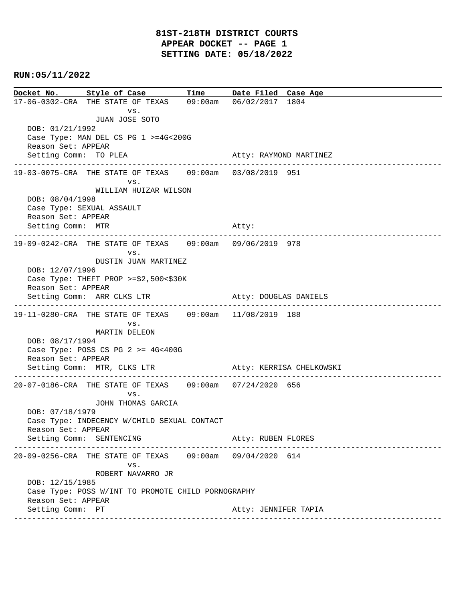| Docket No. Style of Case Time Date Filed Case Age                                     |  |                                          |  |
|---------------------------------------------------------------------------------------|--|------------------------------------------|--|
| 17-06-0302-CRA THE STATE OF TEXAS 09:00am 06/02/2017 1804                             |  |                                          |  |
| VS.                                                                                   |  |                                          |  |
| JUAN JOSE SOTO<br>DOB: 01/21/1992                                                     |  |                                          |  |
| Case Type: MAN DEL CS PG 1 >=4G<200G                                                  |  |                                          |  |
| Reason Set: APPEAR                                                                    |  |                                          |  |
| Setting Comm: TO PLEA                                                                 |  | Atty: RAYMOND MARTINEZ                   |  |
| 19-03-0075-CRA THE STATE OF TEXAS 09:00am 03/08/2019 951                              |  |                                          |  |
| VS.                                                                                   |  |                                          |  |
| WILLIAM HUIZAR WILSON                                                                 |  |                                          |  |
| DOB: 08/04/1998                                                                       |  |                                          |  |
| Case Type: SEXUAL ASSAULT<br>Reason Set: APPEAR                                       |  |                                          |  |
| Setting Comm: MTR                                                                     |  | Atty:                                    |  |
|                                                                                       |  | ---------------------------------        |  |
| 19-09-0242-CRA THE STATE OF TEXAS 09:00am 09/06/2019 978                              |  |                                          |  |
| VS.<br>DUSTIN JUAN MARTINEZ                                                           |  |                                          |  |
| DOB: 12/07/1996                                                                       |  |                                          |  |
| Case Type: THEFT PROP $>= $2,500< $30K$                                               |  |                                          |  |
| Reason Set: APPEAR                                                                    |  |                                          |  |
| Setting Comm: ARR CLKS LTR                                                            |  | Atty: DOUGLAS DANIELS<br>--------------- |  |
| 19-11-0280-CRA THE STATE OF TEXAS 09:00am 11/08/2019 188                              |  |                                          |  |
| VS.                                                                                   |  |                                          |  |
| MARTIN DELEON<br>DOB: 08/17/1994                                                      |  |                                          |  |
| Case Type: POSS CS PG $2 \ge 4G < 400G$                                               |  |                                          |  |
| Reason Set: APPEAR                                                                    |  |                                          |  |
| Setting Comm: MTR, CLKS LTR Atty: KERRISA CHELKOWSKI                                  |  |                                          |  |
| -------------------------<br>20-07-0186-CRA THE STATE OF TEXAS 09:00am 07/24/2020 656 |  |                                          |  |
| VS.                                                                                   |  |                                          |  |
| JOHN THOMAS GARCIA                                                                    |  |                                          |  |
| DOB: 07/18/1979                                                                       |  |                                          |  |
| Case Type: INDECENCY W/CHILD SEXUAL CONTACT<br>Reason Set: APPEAR                     |  |                                          |  |
| Setting Comm: SENTENCING                                                              |  | Atty: RUBEN FLORES                       |  |
|                                                                                       |  | ---------------------                    |  |
| 20-09-0256-CRA THE STATE OF TEXAS 09:00am 09/04/2020 614<br>VS.                       |  |                                          |  |
| ROBERT NAVARRO JR                                                                     |  |                                          |  |
| DOB: 12/15/1985                                                                       |  |                                          |  |
| Case Type: POSS W/INT TO PROMOTE CHILD PORNOGRAPHY                                    |  |                                          |  |
| Reason Set: APPEAR                                                                    |  |                                          |  |
| Setting Comm: PT                                                                      |  | Atty: JENNIFER TAPIA                     |  |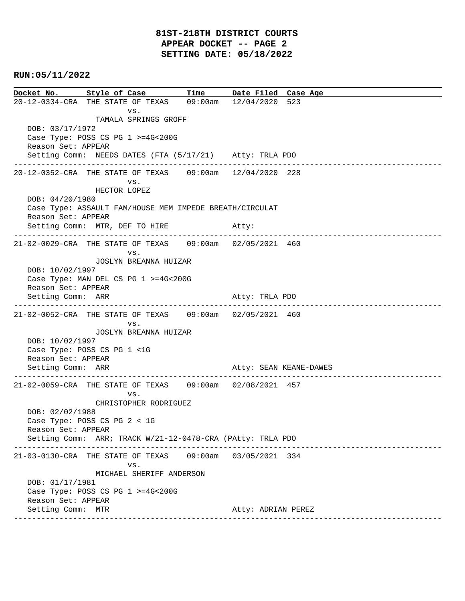**Docket No. Style of Case Time Date Filed Case Age**  20-12-0334-CRA THE STATE OF TEXAS 09:00am 12/04/2020 523 vs. TAMALA SPRINGS GROFF DOB: 03/17/1972 Case Type: POSS CS PG 1 >=4G<200G Reason Set: APPEAR Setting Comm: NEEDS DATES (FTA (5/17/21) Atty: TRLA PDO ---------------------------------------------------------------------------------------------- 20-12-0352-CRA THE STATE OF TEXAS 09:00am 12/04/2020 228 vs. HECTOR LOPEZ DOB: 04/20/1980 Case Type: ASSAULT FAM/HOUSE MEM IMPEDE BREATH/CIRCULAT Reason Set: APPEAR Setting Comm: MTR, DEF TO HIRE Atty: ---------------------------------------------------------------------------------------------- 21-02-0029-CRA THE STATE OF TEXAS 09:00am 02/05/2021 460 vs. JOSLYN BREANNA HUIZAR DOB: 10/02/1997 Case Type: MAN DEL CS PG 1 >=4G<200G Reason Set: APPEAR Setting Comm: ARR Atty: TRLA PDO ---------------------------------------------------------------------------------------------- 21-02-0052-CRA THE STATE OF TEXAS 09:00am 02/05/2021 460 vs. JOSLYN BREANNA HUIZAR DOB: 10/02/1997 Case Type: POSS CS PG 1 <1G Reason Set: APPEAR Setting Comm: ARR Atty: SEAN KEANE-DAWES ---------------------------------------------------------------------------------------------- 21-02-0059-CRA THE STATE OF TEXAS 09:00am 02/08/2021 457 vs. CHRISTOPHER RODRIGUEZ DOB: 02/02/1988 Case Type: POSS CS PG 2 < 1G Reason Set: APPEAR Setting Comm: ARR; TRACK W/21-12-0478-CRA (PAtty: TRLA PDO ---------------------------------------------------------------------------------------------- 21-03-0130-CRA THE STATE OF TEXAS 09:00am 03/05/2021 334 vs. MICHAEL SHERIFF ANDERSON DOB: 01/17/1981 Case Type: POSS CS PG 1 >=4G<200G Reason Set: APPEAR Setting Comm: MTR Atty: ADRIAN PEREZ ----------------------------------------------------------------------------------------------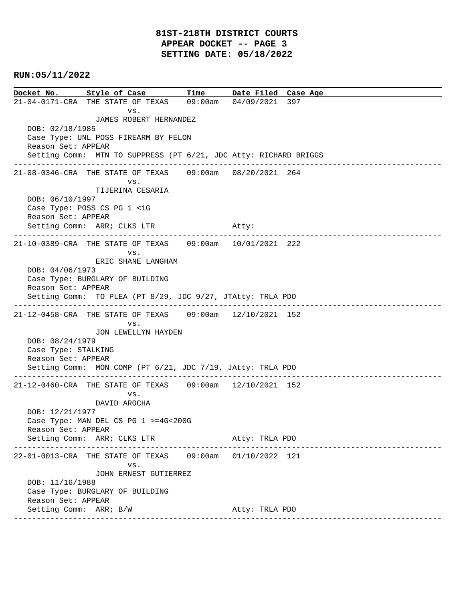**Docket No. Style of Case Time Date Filed Case Age**  21-04-0171-CRA THE STATE OF TEXAS 09:00am 04/09/2021 397 vs. JAMES ROBERT HERNANDEZ DOB: 02/18/1985 Case Type: UNL POSS FIREARM BY FELON Reason Set: APPEAR Setting Comm: MTN TO SUPPRESS (PT 6/21, JDC Atty: RICHARD BRIGGS ---------------------------------------------------------------------------------------------- 21-08-0346-CRA THE STATE OF TEXAS 09:00am 08/20/2021 264 vs. TIJERINA CESARIA DOB: 06/10/1997 Case Type: POSS CS PG 1 <1G Reason Set: APPEAR Setting Comm: ARR; CLKS LTR Atty: ---------------------------------------------------------------------------------------------- 21-10-0389-CRA THE STATE OF TEXAS 09:00am 10/01/2021 222 vs. ERIC SHANE LANGHAM DOB: 04/06/1973 Case Type: BURGLARY OF BUILDING Reason Set: APPEAR Setting Comm: TO PLEA (PT 8/29, JDC 9/27, JTAtty: TRLA PDO ---------------------------------------------------------------------------------------------- 21-12-0458-CRA THE STATE OF TEXAS 09:00am 12/10/2021 152 vs. JON LEWELLYN HAYDEN DOB: 08/24/1979 Case Type: STALKING Reason Set: APPEAR Setting Comm: MON COMP (PT 6/21, JDC 7/19, JAtty: TRLA PDO ---------------------------------------------------------------------------------------------- 21-12-0460-CRA THE STATE OF TEXAS 09:00am 12/10/2021 152 vs. DAVID AROCHA DOB: 12/21/1977 Case Type: MAN DEL CS PG 1 >=4G<200G Reason Set: APPEAR Setting Comm: ARR; CLKS LTR Atty: TRLA PDO ---------------------------------------------------------------------------------------------- 22-01-0013-CRA THE STATE OF TEXAS 09:00am 01/10/2022 121 vs. JOHN ERNEST GUTIERREZ DOB: 11/16/1988 Case Type: BURGLARY OF BUILDING Reason Set: APPEAR Setting Comm: ARR; B/W Atty: TRLA PDO ----------------------------------------------------------------------------------------------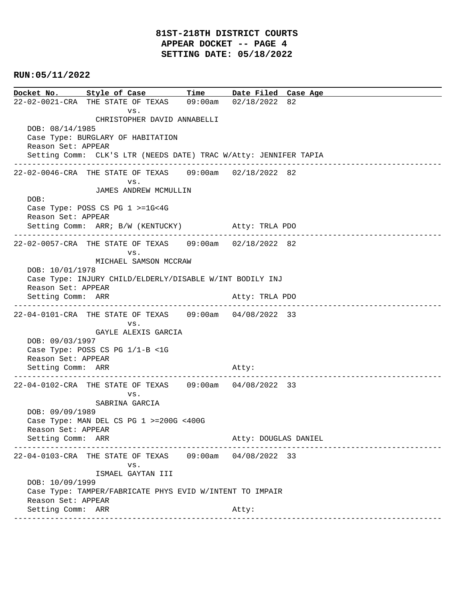### **81ST-218TH DISTRICT COURTS APPEAR DOCKET -- PAGE 4 SETTING DATE: 05/18/2022**

#### **RUN:05/11/2022**

**Docket No. Style of Case Time Date Filed Case Age**  22-02-0021-CRA THE STATE OF TEXAS 09:00am 02/18/2022 82 vs. CHRISTOPHER DAVID ANNABELLI DOB: 08/14/1985 Case Type: BURGLARY OF HABITATION Reason Set: APPEAR Setting Comm: CLK'S LTR (NEEDS DATE) TRAC W/Atty: JENNIFER TAPIA ---------------------------------------------------------------------------------------------- 22-02-0046-CRA THE STATE OF TEXAS 09:00am 02/18/2022 82 vs. JAMES ANDREW MCMULLIN DOB: Case Type: POSS CS PG 1 >=1G<4G Reason Set: APPEAR Setting Comm: ARR; B/W (KENTUCKY) Atty: TRLA PDO ---------------------------------------------------------------------------------------------- 22-02-0057-CRA THE STATE OF TEXAS 09:00am 02/18/2022 82 vs. MICHAEL SAMSON MCCRAW DOB: 10/01/1978 Case Type: INJURY CHILD/ELDERLY/DISABLE W/INT BODILY INJ Reason Set: APPEAR Setting Comm: ARR Atty: TRLA PDO ---------------------------------------------------------------------------------------------- 22-04-0101-CRA THE STATE OF TEXAS 09:00am 04/08/2022 33 vs. GAYLE ALEXIS GARCIA DOB: 09/03/1997 Case Type: POSS CS PG 1/1-B <1G Reason Set: APPEAR Setting Comm: ARR Atty: ---------------------------------------------------------------------------------------------- 22-04-0102-CRA THE STATE OF TEXAS 09:00am 04/08/2022 33 vs. SABRINA GARCIA DOB: 09/09/1989 Case Type: MAN DEL CS PG 1 >=200G <400G Reason Set: APPEAR Setting Comm: ARR Atty: DOUGLAS DANIEL ---------------------------------------------------------------------------------------------- 22-04-0103-CRA THE STATE OF TEXAS 09:00am 04/08/2022 33 vs. ISMAEL GAYTAN III DOB: 10/09/1999 Case Type: TAMPER/FABRICATE PHYS EVID W/INTENT TO IMPAIR Reason Set: APPEAR Setting Comm: ARR Atty: ----------------------------------------------------------------------------------------------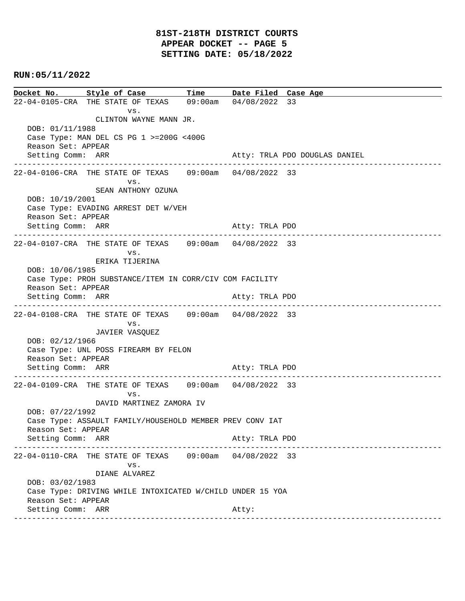**Docket No. Style of Case Time Date Filed Case Age**  22-04-0105-CRA THE STATE OF TEXAS 09:00am 04/08/2022 33 vs. CLINTON WAYNE MANN JR. DOB: 01/11/1988 Case Type: MAN DEL CS PG 1 >=200G <400G Reason Set: APPEAR Setting Comm: ARR Atty: TRLA PDO DOUGLAS DANIEL ---------------------------------------------------------------------------------------------- 22-04-0106-CRA THE STATE OF TEXAS 09:00am 04/08/2022 33 vs. SEAN ANTHONY OZUNA DOB: 10/19/2001 Case Type: EVADING ARREST DET W/VEH Reason Set: APPEAR Setting Comm: ARR Atty: TRLA PDO ---------------------------------------------------------------------------------------------- 22-04-0107-CRA THE STATE OF TEXAS 09:00am 04/08/2022 33 vs. ERIKA TIJERINA DOB: 10/06/1985 Case Type: PROH SUBSTANCE/ITEM IN CORR/CIV COM FACILITY Reason Set: APPEAR Setting Comm: ARR Atty: TRLA PDO ---------------------------------------------------------------------------------------------- 22-04-0108-CRA THE STATE OF TEXAS 09:00am 04/08/2022 33 vs. JAVIER VASQUEZ DOB: 02/12/1966 Case Type: UNL POSS FIREARM BY FELON Reason Set: APPEAR Setting Comm: ARR Atty: TRLA PDO ---------------------------------------------------------------------------------------------- 22-04-0109-CRA THE STATE OF TEXAS 09:00am 04/08/2022 33 vs. DAVID MARTINEZ ZAMORA IV DOB: 07/22/1992 Case Type: ASSAULT FAMILY/HOUSEHOLD MEMBER PREV CONV IAT Reason Set: APPEAR Setting Comm: ARR Atty: TRLA PDO ---------------------------------------------------------------------------------------------- 22-04-0110-CRA THE STATE OF TEXAS 09:00am 04/08/2022 33 vs. DIANE ALVAREZ DOB: 03/02/1983 Case Type: DRIVING WHILE INTOXICATED W/CHILD UNDER 15 YOA Reason Set: APPEAR Setting Comm: ARR Atty: ----------------------------------------------------------------------------------------------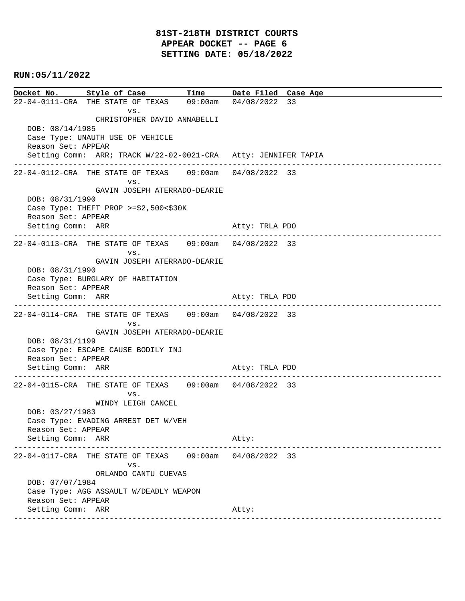**Docket No. Style of Case Time Date Filed Case Age**  22-04-0111-CRA THE STATE OF TEXAS 09:00am 04/08/2022 33 vs. CHRISTOPHER DAVID ANNABELLI DOB: 08/14/1985 Case Type: UNAUTH USE OF VEHICLE Reason Set: APPEAR Setting Comm: ARR; TRACK W/22-02-0021-CRA Atty: JENNIFER TAPIA ---------------------------------------------------------------------------------------------- 22-04-0112-CRA THE STATE OF TEXAS 09:00am 04/08/2022 33 vs. GAVIN JOSEPH ATERRADO-DEARIE DOB: 08/31/1990 Case Type: THEFT PROP >=\$2,500<\$30K Reason Set: APPEAR Setting Comm: ARR Atty: TRLA PDO ---------------------------------------------------------------------------------------------- 22-04-0113-CRA THE STATE OF TEXAS 09:00am 04/08/2022 33 vs. GAVIN JOSEPH ATERRADO-DEARIE DOB: 08/31/1990 Case Type: BURGLARY OF HABITATION Reason Set: APPEAR Setting Comm: ARR Atty: TRLA PDO ---------------------------------------------------------------------------------------------- 22-04-0114-CRA THE STATE OF TEXAS 09:00am 04/08/2022 33 vs. GAVIN JOSEPH ATERRADO-DEARIE DOB: 08/31/1199 Case Type: ESCAPE CAUSE BODILY INJ Reason Set: APPEAR Setting Comm: ARR Atty: TRLA PDO ---------------------------------------------------------------------------------------------- 22-04-0115-CRA THE STATE OF TEXAS 09:00am 04/08/2022 33 vs. WINDY LEIGH CANCEL DOB: 03/27/1983 Case Type: EVADING ARREST DET W/VEH Reason Set: APPEAR Setting Comm: ARR Atty: ---------------------------------------------------------------------------------------------- 22-04-0117-CRA THE STATE OF TEXAS 09:00am 04/08/2022 33 vs. ORLANDO CANTU CUEVAS DOB: 07/07/1984 Case Type: AGG ASSAULT W/DEADLY WEAPON Reason Set: APPEAR Setting Comm: ARR Atty: ----------------------------------------------------------------------------------------------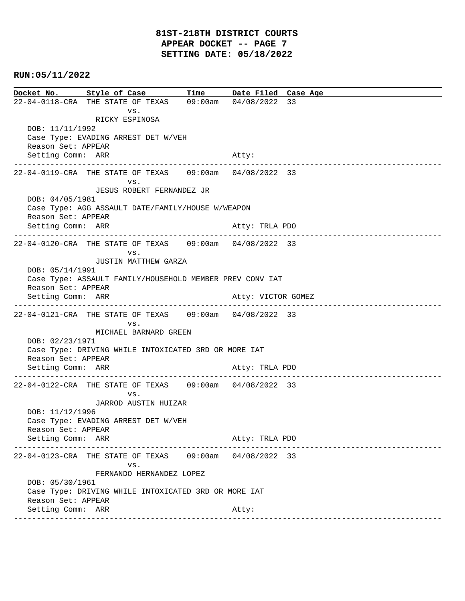| Docket No. Style of Case Time Date Filed Case Age                       |  |  |  |  |
|-------------------------------------------------------------------------|--|--|--|--|
| 22-04-0118-CRA THE STATE OF TEXAS 09:00am 04/08/2022 33                 |  |  |  |  |
| VS.                                                                     |  |  |  |  |
| RICKY ESPINOSA                                                          |  |  |  |  |
| DOB: 11/11/1992<br>Case Type: EVADING ARREST DET W/VEH                  |  |  |  |  |
| Reason Set: APPEAR                                                      |  |  |  |  |
| Setting Comm: ARR<br>Atty:                                              |  |  |  |  |
|                                                                         |  |  |  |  |
| 22-04-0119-CRA THE STATE OF TEXAS 09:00am 04/08/2022 33                 |  |  |  |  |
| VS.<br>JESUS ROBERT FERNANDEZ JR                                        |  |  |  |  |
| DOB: 04/05/1981                                                         |  |  |  |  |
| Case Type: AGG ASSAULT DATE/FAMILY/HOUSE W/WEAPON                       |  |  |  |  |
| Reason Set: APPEAR                                                      |  |  |  |  |
| Setting Comm: ARR<br>Atty: TRLA PDO                                     |  |  |  |  |
| 22-04-0120-CRA THE STATE OF TEXAS 09:00am 04/08/2022 33                 |  |  |  |  |
| VS.                                                                     |  |  |  |  |
| <b>JUSTIN MATTHEW GARZA</b>                                             |  |  |  |  |
| DOB: 05/14/1991                                                         |  |  |  |  |
| Case Type: ASSAULT FAMILY/HOUSEHOLD MEMBER PREV CONV IAT                |  |  |  |  |
| Reason Set: APPEAR<br>Setting Comm: ARR<br>Atty: VICTOR GOMEZ           |  |  |  |  |
|                                                                         |  |  |  |  |
| 22-04-0121-CRA THE STATE OF TEXAS 09:00am 04/08/2022 33                 |  |  |  |  |
| VS.                                                                     |  |  |  |  |
| MICHAEL BARNARD GREEN                                                   |  |  |  |  |
| DOB: 02/23/1971<br>Case Type: DRIVING WHILE INTOXICATED 3RD OR MORE IAT |  |  |  |  |
| Reason Set: APPEAR                                                      |  |  |  |  |
| Setting Comm: ARR<br>Atty: TRLA PDO                                     |  |  |  |  |
| --------------------------------------                                  |  |  |  |  |
| 22-04-0122-CRA THE STATE OF TEXAS 09:00am 04/08/2022 33                 |  |  |  |  |
| VS.<br>JARROD AUSTIN HUIZAR                                             |  |  |  |  |
| DOB: 11/12/1996                                                         |  |  |  |  |
| Case Type: EVADING ARREST DET W/VEH                                     |  |  |  |  |
| Reason Set: APPEAR                                                      |  |  |  |  |
| Setting Comm: ARR<br>Atty: TRLA PDO                                     |  |  |  |  |
| 22-04-0123-CRA THE STATE OF TEXAS 09:00am 04/08/2022 33                 |  |  |  |  |
| VS.                                                                     |  |  |  |  |
| FERNANDO HERNANDEZ LOPEZ                                                |  |  |  |  |
| DOB: 05/30/1961                                                         |  |  |  |  |
| Case Type: DRIVING WHILE INTOXICATED 3RD OR MORE IAT                    |  |  |  |  |
| Reason Set: APPEAR                                                      |  |  |  |  |
| Setting Comm: ARR<br>Atty:                                              |  |  |  |  |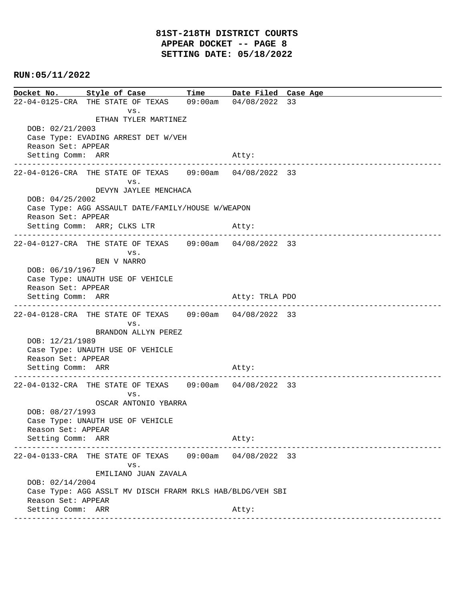**Docket No. Style of Case Time Date Filed Case Age**  22-04-0125-CRA THE STATE OF TEXAS 09:00am 04/08/2022 33 vs. ETHAN TYLER MARTINEZ DOB: 02/21/2003 Case Type: EVADING ARREST DET W/VEH Reason Set: APPEAR Setting Comm: ARR Atty: ---------------------------------------------------------------------------------------------- 22-04-0126-CRA THE STATE OF TEXAS 09:00am 04/08/2022 33 vs. DEVYN JAYLEE MENCHACA DOB: 04/25/2002 Case Type: AGG ASSAULT DATE/FAMILY/HOUSE W/WEAPON Reason Set: APPEAR Setting Comm: ARR; CLKS LTR Atty: ---------------------------------------------------------------------------------------------- 22-04-0127-CRA THE STATE OF TEXAS 09:00am 04/08/2022 33 vs. BEN V NARRO DOB: 06/19/1967 Case Type: UNAUTH USE OF VEHICLE Reason Set: APPEAR Setting Comm: ARR Atty: TRLA PDO ---------------------------------------------------------------------------------------------- 22-04-0128-CRA THE STATE OF TEXAS 09:00am 04/08/2022 33 vs. BRANDON ALLYN PEREZ DOB: 12/21/1989 Case Type: UNAUTH USE OF VEHICLE Reason Set: APPEAR Setting Comm: ARR Atty: ---------------------------------------------------------------------------------------------- 22-04-0132-CRA THE STATE OF TEXAS 09:00am 04/08/2022 33 vs. OSCAR ANTONIO YBARRA DOB: 08/27/1993 Case Type: UNAUTH USE OF VEHICLE Reason Set: APPEAR Setting Comm: ARR Atty: ---------------------------------------------------------------------------------------------- 22-04-0133-CRA THE STATE OF TEXAS 09:00am 04/08/2022 33 vs. EMILIANO JUAN ZAVALA DOB: 02/14/2004 Case Type: AGG ASSLT MV DISCH FRARM RKLS HAB/BLDG/VEH SBI Reason Set: APPEAR Setting Comm: ARR Atty: ----------------------------------------------------------------------------------------------